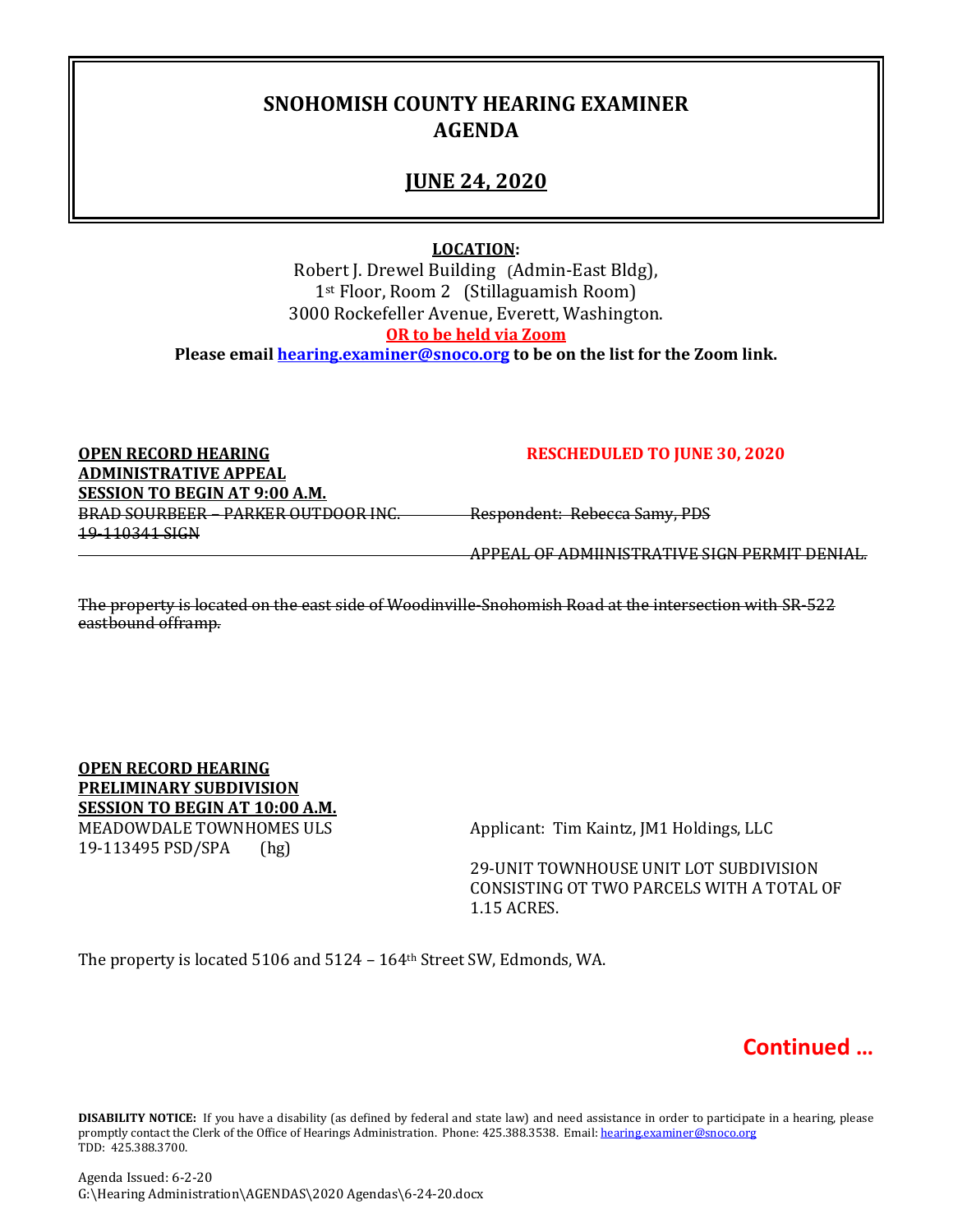## **SNOHOMISH COUNTY HEARING EXAMINER AGENDA**

### **JUNE 24, 2020**

#### **LOCATION:**

Robert J. Drewel Building (Admin-East Bldg), 1st Floor, Room 2 (Stillaguamish Room) 3000 Rockefeller Avenue, Everett, Washington. **OR to be held via Zoom Please email [hearing.examiner@snoco.org](mailto:hearing.examiner@snoco.org) to be on the list for the Zoom link.**

**OPEN RECORD HEARING RESCHEDULED TO JUNE 30, 2020 ADMINISTRATIVE APPEAL SESSION TO BEGIN AT 9:00 A.M.** BRAD SOURBEER – PARKER OUTDOOR INC. Respondent: Rebecca Samy, PDS 19-110341 SIGN

APPEAL OF ADMIINISTRATIVE SIGN PERMIT DENIAL.

The property is located on the east side of Woodinville-Snohomish Road at the intersection with SR-522 eastbound offramp.

**OPEN RECORD HEARING PRELIMINARY SUBDIVISION SESSION TO BEGIN AT 10:00 A.M.** MEADOWDALE TOWNHOMES ULS<br>19-113495 PSD/SPA (hg) (hg) 19-113495 PSD/SPA

29-UNIT TOWNHOUSE UNIT LOT SUBDIVISION CONSISTING OT TWO PARCELS WITH A TOTAL OF 1.15 ACRES.

The property is located 5106 and 5124 – 164th Street SW, Edmonds, WA.



**DISABILITY NOTICE:** If you have a disability (as defined by federal and state law) and need assistance in order to participate in a hearing, please promptly contact the Clerk of the Office of Hearings Administration. Phone: 425.388.3538. Email: hearing.examiner@snoco.org TDD: 425.388.3700.